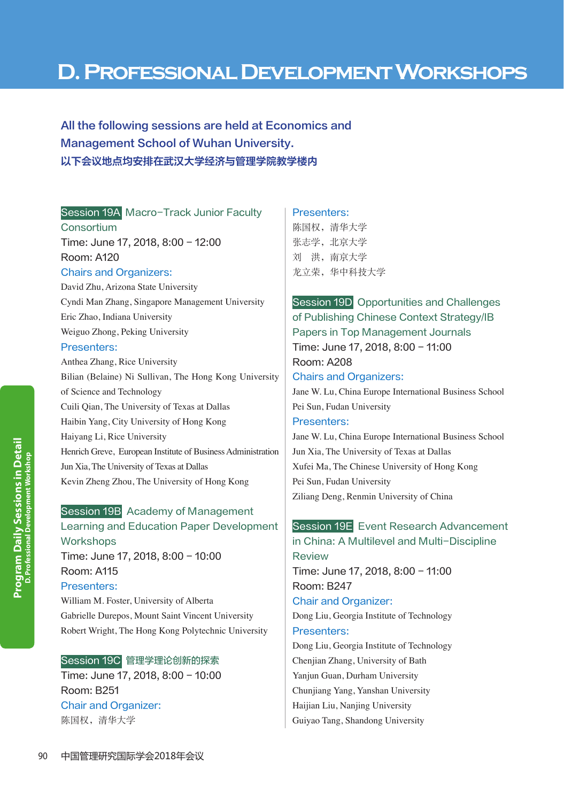# **D. Professional Development Workshops**

All the following sessions are held at Economics and Management School of Wuhan University. 以下会议地点均安排在武汉大学经济与管理学院教学楼内

#### Session 19A Macro-Track Junior Faculty

**Consortium** Time: June 17, 2018, 8:00 - 12:00 Room: A120

#### Chairs and Organizers:

David Zhu, Arizona State University Cyndi Man Zhang, Singapore Management University Eric Zhao, Indiana University Weiguo Zhong, Peking University

### Presenters:

Anthea Zhang, Rice University Bilian (Belaine) Ni Sullivan, The Hong Kong University of Science and Technology Cuili Qian, The University of Texas at Dallas Haibin Yang, City University of Hong Kong Haiyang Li, Rice University Henrich Greve, European Institute of Business Administration Jun Xia, The University of Texas at Dallas Kevin Zheng Zhou, The University of Hong Kong

# Session 19B Academy of Management Learning and Education Paper Development **Workshops** Time: June 17, 2018, 8:00 - 10:00 Room: A115

#### Presenters:

William M. Foster, University of Alberta Gabrielle Durepos, Mount Saint Vincent University Robert Wright, The Hong Kong Polytechnic University

#### Session 19C 管理学理论创新的探索

Time: June 17, 2018, 8:00 - 10:00 Room: B251 Chair and Organizer: 陈国权,清华大学

#### Presenters:

陈国权,清华大学 张志学, 北京大学 刘 洪,南京大学 龙立荣,华中科技大学

# Session 19D Opportunities and Challenges of Publishing Chinese Context Strategy/IB Papers in Top Management Journals Time: June 17, 2018, 8:00 - 11:00 Room: A208 Chairs and Organizers: Jane W. Lu, China Europe International Business School Pei Sun, Fudan University Presenters:

Jane W. Lu, China Europe International Business School Jun Xia, The University of Texas at Dallas Xufei Ma, The Chinese University of Hong Kong Pei Sun, Fudan University Ziliang Deng, Renmin University of China

# Session 19E Event Research Advancement in China: A Multilevel and Multi-Discipline Review

Time: June 17, 2018, 8:00 - 11:00 Room: B247 Chair and Organizer:

Dong Liu, Georgia Institute of Technology Presenters:

# Dong Liu, Georgia Institute of Technology Chenjian Zhang, University of Bath Yanjun Guan, Durham University Chunjiang Yang, Yanshan University Haijian Liu, Nanjing University Guiyao Tang, Shandong University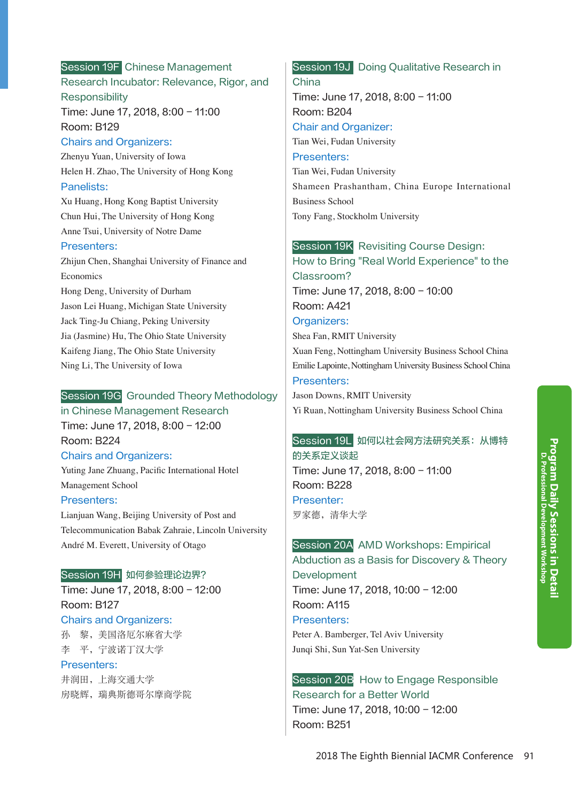# Session 19F Chinese Management Research Incubator: Relevance, Rigor, and **Responsibility**

Time: June 17, 2018, 8:00 - 11:00 Room: B129

#### Chairs and Organizers:

Zhenyu Yuan, University of Iowa Helen H. Zhao, The University of Hong Kong Panelists:

Xu Huang, Hong Kong Baptist University Chun Hui, The University of Hong Kong Anne Tsui, University of Notre Dame

### Presenters:

Zhijun Chen, Shanghai University of Finance and Economics Hong Deng, University of Durham Jason Lei Huang, Michigan State University

Jack Ting-Ju Chiang, Peking University Jia (Jasmine) Hu, The Ohio State University Kaifeng Jiang, The Ohio State University Ning Li, The University of Iowa

### Session 19G Grounded Theory Methodology

in Chinese Management Research Time: June 17, 2018, 8:00 - 12:00 Room: B224

### Chairs and Organizers:

Yuting Jane Zhuang, Pacific International Hotel Management School

### Presenters:

Lianjuan Wang, Beijing University of Post and Telecommunication Babak Zahraie, Lincoln University André M. Everett, University of Otago

#### Session 19H 如何参验理论边界?

Time: June 17, 2018, 8:00 - 12:00 Room: B127 Chairs and Organizers:

孙 黎,美国洛厄尔麻省大学 李 平,宁波诺丁汉大学

#### Presenters:

井润田,上海交通大学 房晓辉,瑞典斯德哥尔摩商学院

# Session 19J Doing Qualitative Research in China

Time: June 17, 2018, 8:00 - 11:00 Room: B204 Chair and Organizer: Tian Wei, Fudan University Presenters:

Tian Wei, Fudan University Shameen Prashantham, China Europe International Business School Tony Fang, Stockholm University

### Session 19K Revisiting Course Design:

How to Bring "Real World Experience" to the Classroom? Time: June 17, 2018, 8:00 - 10:00 Room: A421 Organizers: Shea Fan, RMIT University

Xuan Feng, Nottingham University Business School China Emilie Lapointe, Nottingham University Business School China Presenters:

Jason Downs, RMIT University Yi Ruan, Nottingham University Business School China

#### Session 19L 如何以社会网方法研究关系:从博特

的关系定义谈起 Time: June 17, 2018, 8:00 - 11:00 Room: B228 Presenter: 罗家德,清华大学

# Session 20A AMD Workshops: Empirical

Abduction as a Basis for Discovery & Theory **Development** Time: June 17, 2018, 10:00 - 12:00 Room: A115 Presenters: Peter A. Bamberger, Tel Aviv University Junqi Shi, Sun Yat-Sen University

# Session 20B How to Engage Responsible Research for a Better World Time: June 17, 2018, 10:00 - 12:00 Room: B251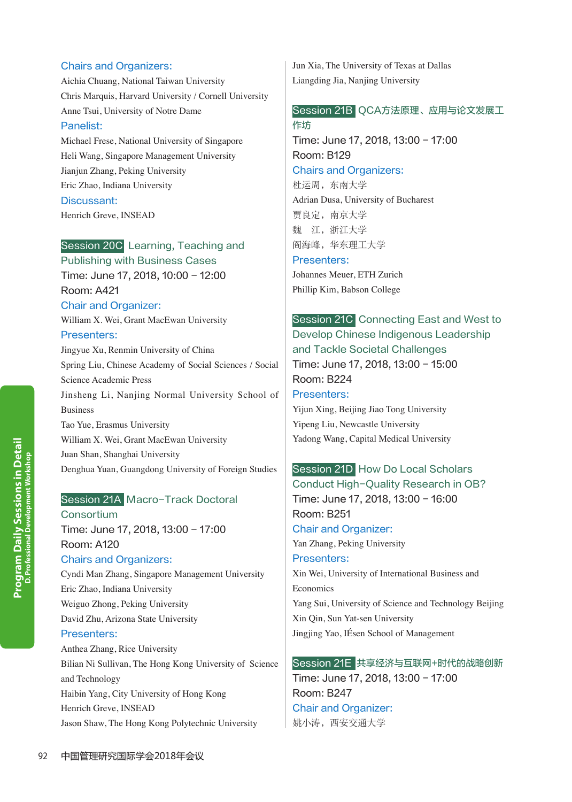#### Chairs and Organizers:

Aichia Chuang, National Taiwan University Chris Marquis, Harvard University / Cornell University Anne Tsui, University of Notre Dame

#### Panelist:

Michael Frese, National University of Singapore Heli Wang, Singapore Management University Jianjun Zhang, Peking University Eric Zhao, Indiana University Discussant: Henrich Greve, INSEAD

### Session 20C Learning, Teaching and

Publishing with Business Cases Time: June 17, 2018, 10:00 - 12:00 Room: A421 Chair and Organizer:

William X. Wei, Grant MacEwan University

#### Presenters:

Jingyue Xu, Renmin University of China Spring Liu, Chinese Academy of Social Sciences / Social Science Academic Press Jinsheng Li, Nanjing Normal University School of Business Tao Yue, Erasmus University William X. Wei, Grant MacEwan University Juan Shan, Shanghai University Denghua Yuan, Guangdong University of Foreign Studies

### Session 21A Macro-Track Doctoral

**Consortium** Time: June 17, 2018, 13:00 - 17:00 Room: A120 Chairs and Organizers:

Cyndi Man Zhang, Singapore Management University Eric Zhao, Indiana University Weiguo Zhong, Peking University David Zhu, Arizona State University Presenters:

Anthea Zhang, Rice University Bilian Ni Sullivan, The Hong Kong University of Science and Technology Haibin Yang, City University of Hong Kong Henrich Greve, INSEAD Jason Shaw, The Hong Kong Polytechnic University

Jun Xia, The University of Texas at Dallas Liangding Jia, Nanjing University

### Session 21B QCA方法原理、应用与论文发展工 作坊

Time: June 17, 2018, 13:00 - 17:00 Room: B129 Chairs and Organizers: 杜运周,东南大学 Adrian Dusa, University of Bucharest

贾良定,南京大学 魏 江,浙江大学 阎海峰,华东理工大学

Presenters:

Johannes Meuer, ETH Zurich Phillip Kim, Babson College

# Session 21C Connecting East and West to Develop Chinese Indigenous Leadership and Tackle Societal Challenges Time: June 17, 2018, 13:00 - 15:00 Room: B224 Presenters: Yijun Xing, Beijing Jiao Tong University Yipeng Liu, Newcastle University

Yadong Wang, Capital Medical University

# Session 21D How Do Local Scholars Conduct High-Quality Research in OB? Time: June 17, 2018, 13:00 - 16:00 Room: B251 Chair and Organizer: Yan Zhang, Peking University Presenters:

Xin Wei, University of International Business and Economics Yang Sui, University of Science and Technology Beijing

Xin Qin, Sun Yat-sen University Jingjing Yao, IÉsen School of Management

### Session 21E 共享经济与互联网+时代的战略创新

Time: June 17, 2018, 13:00 - 17:00 Room: B247 Chair and Organizer: 姚小涛, 西安交通大学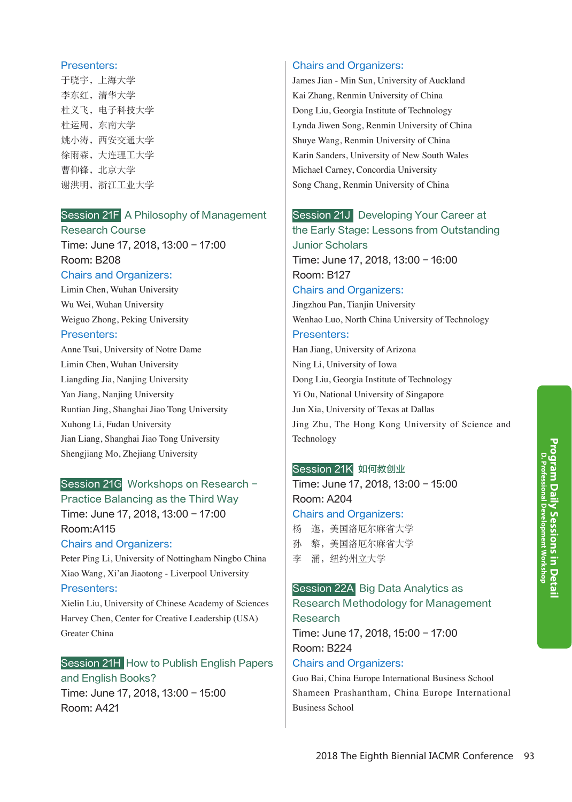#### Presenters:

于晓宇, 上海大学 李东红,清华大学 杜义飞,电子科技大学 杜运周,东南大学 姚小涛,西安交通大学 徐雨森,大连理工大学 曹仰锋,北京大学 谢洪明,浙江工业大学

# Session 21F A Philosophy of Management

Research Course Time: June 17, 2018, 13:00 - 17:00 Room: B208

#### Chairs and Organizers:

Limin Chen, Wuhan University Wu Wei, Wuhan University Weiguo Zhong, Peking University

#### Presenters:

Anne Tsui, University of Notre Dame Limin Chen, Wuhan University Liangding Jia, Nanjing University Yan Jiang, Nanjing University Runtian Jing, Shanghai Jiao Tong University Xuhong Li, Fudan University Jian Liang, Shanghai Jiao Tong University Shengjiang Mo, Zhejiang University

# Session 21G Workshops on Research -

Practice Balancing as the Third Way Time: June 17, 2018, 13:00 - 17:00 Room:A115

### Chairs and Organizers:

Peter Ping Li, University of Nottingham Ningbo China Xiao Wang, Xi'an Jiaotong - Liverpool University Presenters:

Xielin Liu, University of Chinese Academy of Sciences Harvey Chen, Center for Creative Leadership (USA) Greater China

# Session 21H How to Publish English Papers and English Books?

Time: June 17, 2018, 13:00 - 15:00 Room: A421

### Chairs and Organizers:

James Jian - Min Sun, University of Auckland Kai Zhang, Renmin University of China Dong Liu, Georgia Institute of Technology Lynda Jiwen Song, Renmin University of China Shuye Wang, Renmin University of China Karin Sanders, University of New South Wales Michael Carney, Concordia University Song Chang, Renmin University of China

# Session 21J Developing Your Career at

the Early Stage: Lessons from Outstanding Junior Scholars Time: June 17, 2018, 13:00 - 16:00 Room: B127 Chairs and Organizers: Jingzhou Pan, Tianjin University Wenhao Luo, North China University of Technology

# Presenters:

Han Jiang, University of Arizona Ning Li, University of Iowa Dong Liu, Georgia Institute of Technology Yi Ou, National University of Singapore Jun Xia, University of Texas at Dallas Jing Zhu, The Hong Kong University of Science and Technology

### Session 21K 如何教创业

Time: June 17, 2018, 13:00 - 15:00 Room: A204 Chairs and Organizers:

- 杨 迤,美国洛厄尔麻省大学 孙 黎,美国洛厄尔麻省大学
- 李 涌,纽约州立大学

Business School

# Session 22A Big Data Analytics as Research Methodology for Management Research Time: June 17, 2018, 15:00 - 17:00 Room: B224 Chairs and Organizers: Guo Bai, China Europe International Business School Shameen Prashantham, China Europe International

Program Daily Sessions in Detail<br><sup>D. Professional Development Workshop</sup> **Program Daily Sessions in Detail D. Professional Development Workshop**